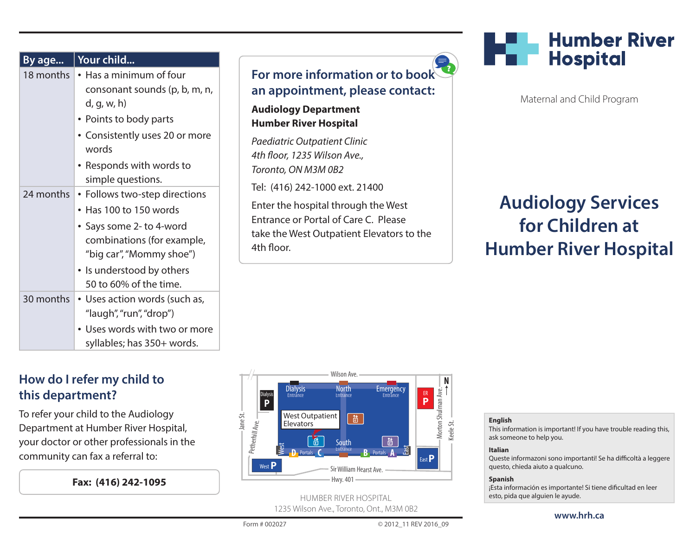| By age    | Your child                                                                                                                                                                                           |                                                                                                                                                                                                    |
|-----------|------------------------------------------------------------------------------------------------------------------------------------------------------------------------------------------------------|----------------------------------------------------------------------------------------------------------------------------------------------------------------------------------------------------|
| 18 months | • Has a minimum of four<br>consonant sounds (p, b, m, n,<br>d, g, w, h)<br>• Points to body parts<br>• Consistently uses 20 or more<br>words<br>Responds with words to<br>simple questions.          | <b>For more</b><br>an appoi<br><b>Audiology</b><br><b>Humber Riv</b><br>Paediatric O<br>4th floor, 12.<br>Toronto, ON<br>Tel: (416) 24<br>Enter the ho<br>Entrance or<br>take the We<br>4th floor. |
| 24 months | • Follows two-step directions<br>• Has 100 to 150 words<br>• Says some 2- to 4-word<br>combinations (for example,<br>"big car", "Mommy shoe")<br>• Is understood by others<br>50 to 60% of the time. |                                                                                                                                                                                                    |
| 30 months | • Uses action words (such as,<br>"laugh", "run", "drop")<br>• Uses words with two or more<br>syllables; has 350+ words.                                                                              |                                                                                                                                                                                                    |

# **How do I refer my child to this department?**

To refer your child to the Audiology Department at Humber River Hospital, your doctor or other professionals in the community can fax a referral to:

**Fax: (416) 242-1095**



a

**Department ver Hospital** 

*Paediatric Outpatient Clinic 4th floor, 1235 Wilson Ave., M3M 0B2* 42-1000 ext. 21400 ospital through the West

Portal of Care C. Please st Outpatient Elevators to the



Maternal and Child Program

# **Audiology Services for Children at Humber River Hospital**



HUMBER RIVER HOSPITAL 1235 Wilson Ave., Toronto, Ont., M3M 0B2

#### **English**

This information is important! If you have trouble reading this, ask someone to help you.

#### **Italian**

Queste informazoni sono importanti! Se ha difficoltà a leggere questo, chieda aiuto a qualcuno.

#### **Spanish**

¡Esta información es importante! Si tiene dificultad en leer esto, pida que alguien le ayude.

Form # 002027 © 2012\_11 REV 2016\_09